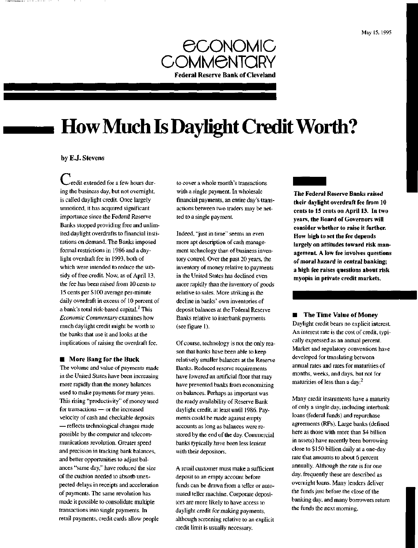

# **How Much Is Daylight Credit Worth?**

#### by E.J. Stevens

**C**credit extended for a few hours during the business day, but not overnight, is called daylight credit. Once largely unnoticed, it has acquired significant importance since the Federal Reserve Banks stopped providing free and unlimited daylight overdrafts to financial institutions on demand. The Banks imposed formal restrictions in 1986 and a daylight overdraft fee in 1993, both of which were intended to reduce the subsidy of free credit. Now, as of April 13, the fee has been raised from 10 cents to 15 cents per \$100 average per-minute daily overdraft in excess of 10 percent of a bank's total risk-based capital.<sup>1</sup> This *Economic Commentary* examines how much daylight credit might be worth to the banks that use it and looks at the implications of raising the overdraft fee.

#### **II** More Bang for the Buck

The volume and value of payments made in the United States have been increasing more rapidly than the money balances used to make payments for many years. This rising "productivity" of money used for transactions — or the increased velocity of cash and checkable deposits — reflects technological changes made possible by the computer and telecommunications revolution. Greater speed and precision in tracking bank balances, and better opportunities to adjust balances "same day," have reduced the size of the cushion needed to absorb unexpected delays in receipts and acceleration of payments. The same revolution has made it possible to consolidate multiple transactions into single payments. In retail payments, credit cards allow people

to cover a whole month's transactions with a single payment. In wholesale financial payments, an entire day's transactions between two traders may be netted to a single payment.

Indeed, "just in time" seems an even more apt description of cash management technology than of business inventory control. Over the past 20 years, the inventory of money relative to payments in the United States has declined even more rapidly than the inventory of goods relative to sales. More striking is the decline in banks' own inventories of deposit balances at the Federal Reserve Banks relative to interbank payments (see figure 1).

Of course, technology is not the only reason that banks have been able to keep relatively smaller balances at the Reserve Banks. Reduced reserve requirements have lowered an artificial floor that may have prevented banks from economizing on balances. Perhaps as important was the ready availability of Reserve Bank daylight credit, at least until 1986. Payments could be made against empty accounts as long as balances were restored by the end of the day. Commercial banks typically have been less lenient with their depositors.

A retail customer must make a sufficient deposit to an empty account before funds can be drawn from a teller or automated teller machine. Corporate depositors are more likely to have access to daylight credit for making payments, although screening relative to an explicit credit limit is usually necessary.

**The Federal Reserve Banks raised their daylight overdraft fee from 10 cents to 15 cents on April 13. In two years, the Board of Governors will consider whether to raise it further. How high to set the fee depends largely on attitudes toward risk management. A low fee involves questions of moral hazard in central banking; a high fee raises questions about risk myopia in private credit markets.**

**• The Time Value of Money** Daylight credit bears no explicit interest. An interest rate is the cost of credit, typically expressed as an annual percent. Market and regulatory conventions have developed for translating between annual rates and rates for maturities of months, weeks, and days, but not for maturities of less than a day.<sup>2</sup>

Many credit instruments have a maturity of only a single day, including interbank loans (federal funds) and repurchase agreements (RPs). Large banks (defined here as those with more than \$4 billion in assets) have recently been borrowing close to \$150 billion daily at a one-day rate that amounts to about 6 percent annually. Although the rate is for one day, frequently these are described as overnight loans. Many lenders deliver the funds just before the close of the banking day, and many borrowers return the funds the next morning.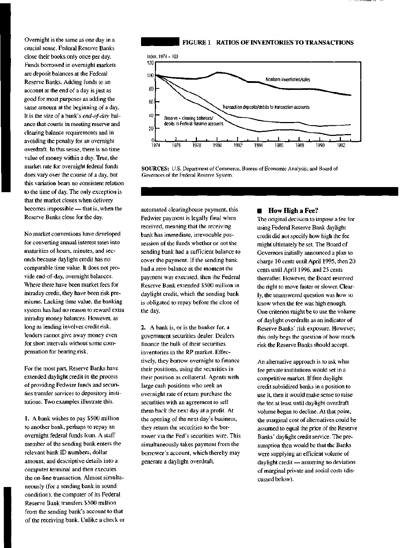Overnight is the same as one day in a crucial sense. Federal Reserve Banks close their books only once per day. Funds borrowed in overnight markets are deposit balances at the Federal Reserve Banks. Adding funds to an account at the end of a day is just as good for most purposes as adding the same amount at the beginning of a day. It is the size of a bank's *end-of-day* balance that counts in meeting reserve and clearing balance requirements and in avoiding the penalty for an overnight overdraft. In this sense, there is no time value of money within a day. True, the market rate for overnight federal funds does vary over the course of a day, but this variation bears no consistent relation to the time of day. The only exception is that the market closes when delivery becomes impossible — that is, when the Reserve Banks close for the day.

No market conventions have developed for converting annual interest rates into maturities of hours, minutes, and seconds because daylight credit has no comparable time value. It does not provide end-of-day, overnight balances. Where there have been market fees for intraday credit, they have been risk premiums. Lacking time value, the banking system has had no reason to reward extra intraday money balances. However, as long as lending involves credit risk, lenders cannot give away money even for short intervals without some compensation for bearing risk.

For the most part, Reserve Banks have extended daylight credit in the process of providing Fedwire funds and securities transfer services to depository institutions. Two examples illustrate this.

1. A bank wishes to pay \$500 million to another bank, perhaps to repay an overnight federal funds loan. A staff member of the sending bank enters the relevant bank ID numbers, dollar amount, and descriptive details into a computer terminal and then executes the on-line transaction. Almost simultaneously (for a sending bank in sound condition), the computer of its Federal Reserve Bank transfers \$500 million from the sending bank's account to that of the receiving bank. Unlike a check or

# **FIGURE 1 RATIOS OF INVENTORIES TO TRANSACTIONS**



**SOURCES:** U.S. Department of Commerce, Bureau of Economic Analysis; and Board of Governors of the Federal Reserve System.

automated clearinghouse payment, this Fedwire payment is legally final when received, meaning that the receiving bank has immediate, irrevocable possession of the funds whether or not the sending bank had a sufficient balance to cover the payment. If the sending bank had a zero balance at the moment the payment was executed, then the Federal Reserve Bank extended \$500 million in daylight credit, which the sending bank is obligated to repay before the close of the day.

2. A bank is, or is the banker for, a government securities dealer. Dealers finance the bulk of their securities inventories in the RP market. Effectively, they borrow overnight to finance their positions, using the securities in their position as collateral. Agents with large cash positions who seek an overnight rate of return purchase the securities with an agreement to sell them back the next day at a profit. At the opening of the next day's business, they return the securities to the borrower via the Fed's securities wire. This simultaneously takes payment from the borrower's account, which thereby may generate a daylight overdraft.

# **E** How High a Fee?

The original decision to impose a fee for using Federal Reserve Bank daylight credit did not specify how high the fee might ultimately be set. The Board of Governors initially announced a plan to charge 10 cents until April 1995, then 20 cents until April 1996, and 25 cents thereafter. However, the Board reserved the right to move faster or slower. Clearly, the unanswered question was how to know when the fee was high enough. One criterion might be to use the volume of daylight overdrafts as an indicator of Reserve Banks' risk exposure. However, this only begs the question of how much risk the Reserve Banks should accept.

An alternative approach is to ask what fee private institutions would set in a competitive market. If free daylight credit subsidized banks in a position to use it, then it would make sense to raise the fee at least until daylight overdraft volume began to decline. At that point, the marginal cost of alternatives could be assumed to equal the price of the Reserve Banks' daylight credit service. The presumption then would be that the Banks were supplying an efficient volume of daylight credit — assuming no deviation of marginal private and social costs (discussed below).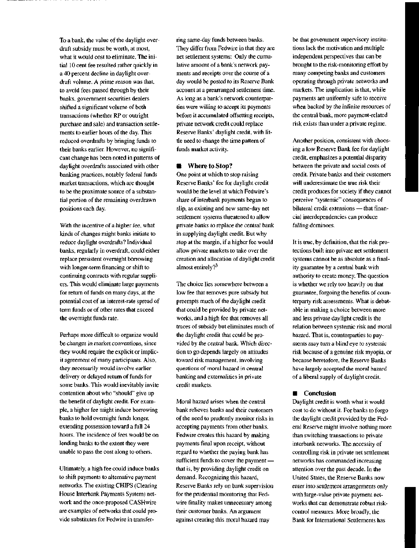To a bank, the value of the daylight overdraft subsidy must be worth, at most, what it would cost to eliminate. The initial 10 cent fee resulted rather quickly in a 40 percent decline in daylight overdraft volume. A prime reason was that, to avoid fees passed through by their banks, government securities dealers shifted a significant volume of both transactions (whether RP or outright purchase and sale) and transaction settlements to earlier hours of the day. This reduced overdrafts by bringing funds to their banks earlier. However, no significant change has been noted in patterns of daylight overdrafts associated with other banking practices, notably federal funds market transactions, which are thought to be the proximate source of a substantial portion of the remaining overdrawn positions each day.

With the incentive of a higher fee, what kinds of changes might banks initiate to reduce daylight overdrafts? Individual banks, regularly in overdraft, could either replace persistent overnight borrowing with longer-term financing or shift to continuing contracts with regular suppliers. This would eliminate large payments for return of funds on many days, at the potential cost of an interest-rate spread of term funds or of other rates that exceed the overnight funds rate.

Perhaps more difficult to organize would be changes in market conventions, since they would require the explicit or implicit agreement of many participants. Also, they necessarily would involve earlier delivery or delayed return of funds for some banks. This would inevitably invite contention about who "should" give up the benefit of daylight credit. For example, a higher fee might induce borrowing banks to hold overnight funds longer, extending possession toward a full 24 hours. The incidence of fees would be on lending banks to the extent they were unable to pass the cost along to others.

Ultimately, a high fee could induce banks to shift payments to alternative payment networks. The existing CHIPS (Clearing House Interbank Payments System) network and the once-proposed CASHwire are examples of networks that could provide substitutes for Fedwire in transferring same-day funds between banks. They differ from Fedwire in that they are net settlement systems: Only the cumulative amount of a bank's network payments and receipts over the course of a day would be posted to its Reserve Bank account at a prearranged settlement time. As long as a bank's network counterparties were willing to accept its payments before it accumulated offsetting receipts, private network credit could replace Reserve Banks' daylight credit, with little need to change the time pattern of funds market activity.

### **• Where to Stop?**

One point at which to stop raising Reserve Banks' fee for daylight credit would be the level at which Fedwire's share of interbank payments began to slip, as existing and new same-day net settlement systems threatened to allow private banks to replace the central bank in supplying daylight credit. But why stop at the margin, if a higher fee would allow private markets to take over the creation and allocation of daylight credit almost entirely? $3$ 

The choice lies somewhere between a low fee that removes pure subsidy but preempts much of the daylight credit that could be provided by private networks, and a high fee that removes all traces of subsidy but eliminates much of the daylight credit that could be provided by the central bank. Which direction to go depends largely on attitudes toward risk management, involving questions of moral hazard in central banking and externalities in private credit markets.

Moral hazard arises when the central bank relieves banks and their customers of the need to prudently monitor risks in accepting payments from other banks. Fedwire creates this hazard by making payments final upon receipt, without regard to whether the paying bank has sufficient funds to cover the payment that is, by providing daylight credit on demand. Recognizing this hazard, Reserve Banks rely on bank supervision for the prudential monitoring that Fedwire finality makes unnecessary among their customer banks. An argument against creating this moral hazard may

be that government supervisory institutions lack the motivation and multiple independent perspectives that can be brought to the risk-monitoring effort by many competing banks and customers operating through private networks and markets. The implication is that, while payments are uniformly safe to receive when backed by the infinite resources of the central bank, more payment-related risk exists than under a private regime.

Another position, consistent with choosing a low Reserve Bank fee for daylight credit, emphasizes a potential disparity between the private and social costs of credit. Private banks and their customers will underestimate the true risk their credit produces for society if they cannot perceive "systemic" consequences of bilateral credit extensions — that financial interdependencies can produce falling dominoes.

It is true, by definition, that the risk protections built into private net settlement systems cannot be as absolute as a finality guarantee by a central bank with authority to create money. The question is whether we rely too heavily on that guarantee, forgoing the benefits of counterparty risk assessments. What is debatable in making a choice between more and less private daylight credit is the relation between systemic risk and moral hazard. That is, counterparties to payments may turn a blind eye to systemic risk because of a genuine risk myopia, or because heretofore, the Reserve Banks have largely accepted the moral hazard of a liberal supply of daylight credit.

# **Conclusion**

Daylight credit is worth what it would cost to do without it. For banks to forgo the daylight credit provided by the Federal Reserve might involve nothing more than switching transactions to private interbank networks. The necessity of controlling risk in private net settlement networks has commanded increasing attention over the past decade. In the United States, the Reserve Banks now enter into settlement arrangements only with large-value private payment networks that can demonstrate robust riskcontrol measures. More broadly, the Bank for International Settlements has